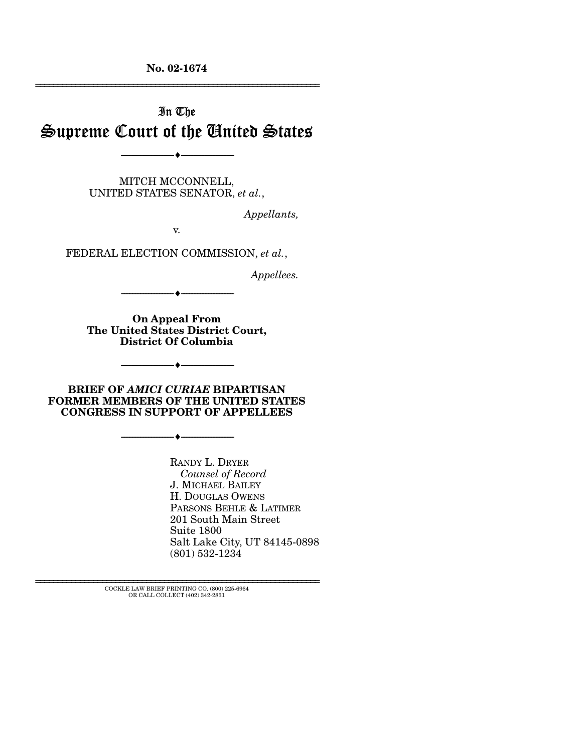**No. 02-1674** 

# In The Supreme Court of the United States

----------------------------- ------------------------------

----♦-- -

MITCH MCCONNELL, UNITED STATES SENATOR, *et al.*,

*Appellants,* 

================================================================

v.

FEDERAL ELECTION COMMISSION, *et al.*,

*Appellees.* 

----------------------------- ------------------------------ ----♦-- -

**On Appeal From The United States District Court, District Of Columbia** 

----------------------------- ------------------------------

----♦-- -

----♦-- -

**BRIEF OF** *AMICI CURIAE* **BIPARTISAN FORMER MEMBERS OF THE UNITED STATES CONGRESS IN SUPPORT OF APPELLEES** 

----------------------------- ------------------------------

RANDY L. DRYER *Counsel of Record*  J. MICHAEL BAILEY H. DOUGLAS OWENS PARSONS BEHLE & LATIMER 201 South Main Street Suite 1800 Salt Lake City, UT 84145-0898 (801) 532-1234

================================================================ COCKLE LAW BRIEF PRINTING CO. (800) 225-6964 OR CALL COLLECT (402) 342-2831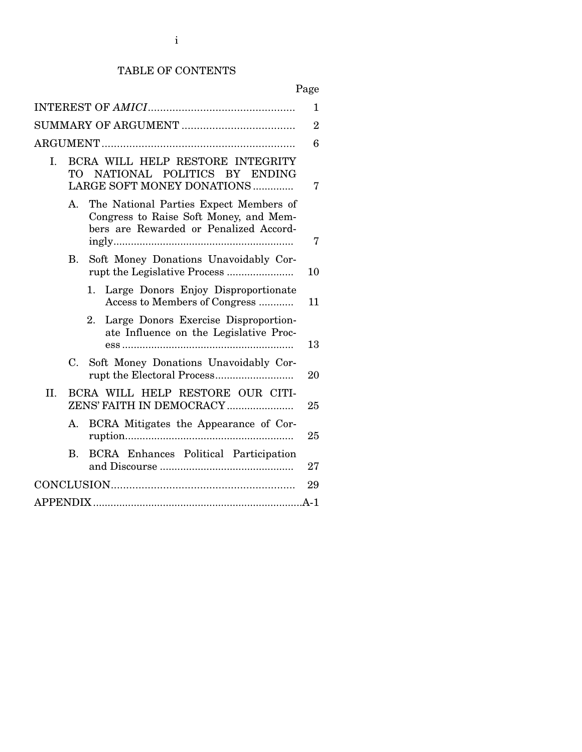# TABLE OF CONTENTS

Page

|     |                |                                                                                                                            | 1  |
|-----|----------------|----------------------------------------------------------------------------------------------------------------------------|----|
|     |                |                                                                                                                            |    |
|     |                |                                                                                                                            |    |
|     |                |                                                                                                                            |    |
| L   | TO T           | BCRA WILL HELP RESTORE INTEGRITY<br>NATIONAL POLITICS BY ENDING<br>LARGE SOFT MONEY DONATIONS                              | 7  |
|     | $\mathsf{A}$ . | The National Parties Expect Members of<br>Congress to Raise Soft Money, and Mem-<br>bers are Rewarded or Penalized Accord- | 7  |
|     | B.             | Soft Money Donations Unavoidably Cor-                                                                                      | 10 |
|     |                | Large Donors Enjoy Disproportionate<br>1.<br>Access to Members of Congress                                                 | 11 |
|     |                | 2. Large Donors Exercise Disproportion-<br>ate Influence on the Legislative Proc-                                          | 13 |
|     |                | C. Soft Money Donations Unavoidably Cor-                                                                                   | 20 |
| II. |                | BCRA WILL HELP RESTORE OUR CITI-<br>ZENS' FAITH IN DEMOCRACY                                                               | 25 |
|     | $\mathsf{A}$ . | BCRA Mitigates the Appearance of Cor-                                                                                      | 25 |
|     | B.             | BCRA Enhances Political Participation                                                                                      | 27 |
|     |                |                                                                                                                            | 29 |
|     |                |                                                                                                                            |    |
|     |                |                                                                                                                            |    |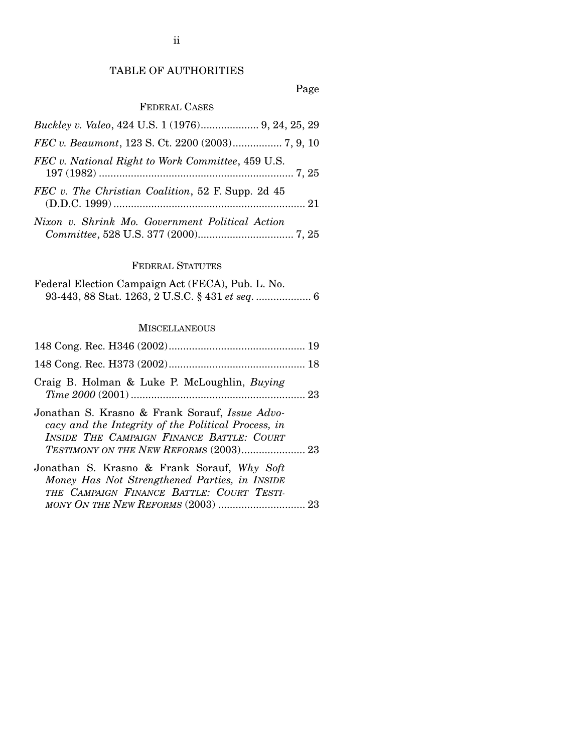# TABLE OF AUTHORITIES

# Page

# FEDERAL CASES

| Buckley v. Valeo, 424 U.S. 1 (1976) 9, 24, 25, 29 |
|---------------------------------------------------|
| FEC v. Beaumont, 123 S. Ct. 2200 (2003) 7, 9, 10  |
| FEC v. National Right to Work Committee, 459 U.S. |
| FEC v. The Christian Coalition, 52 F. Supp. 2d 45 |
| Nixon v. Shrink Mo. Government Political Action   |

#### FEDERAL STATUTES

Federal Election Campaign Act (FECA), Pub. L. No. 93-443, 88 Stat. 1263, 2 U.S.C. § 431 *et seq.* ................... 6

### **MISCELLANEOUS**

| Craig B. Holman & Luke P. McLoughlin, Buying                                                                                                                                                        |  |
|-----------------------------------------------------------------------------------------------------------------------------------------------------------------------------------------------------|--|
| Jonathan S. Krasno & Frank Sorauf, Issue Advo-<br>cacy and the Integrity of the Political Process, in<br>INSIDE THE CAMPAIGN FINANCE BATTLE: COURT<br><b>TESTIMONY ON THE NEW REFORMS (2003) 23</b> |  |
| Jonathan S. Krasno & Frank Sorauf, Why Soft<br>Money Has Not Strengthened Parties, in INSIDE<br>THE CAMPAIGN FINANCE BATTLE: COURT TESTI-                                                           |  |
|                                                                                                                                                                                                     |  |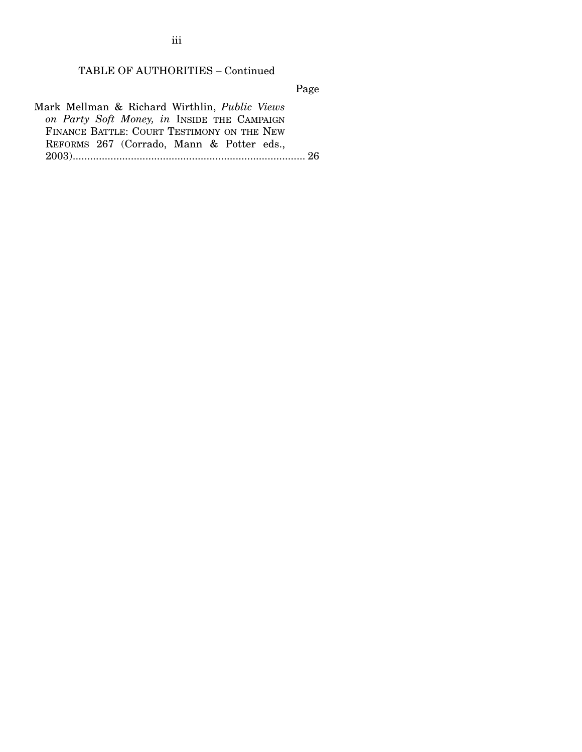TABLE OF AUTHORITIES – Continued

Page

Mark Mellman & Richard Wirthlin, *Public Views on Party Soft Money, in* INSIDE THE CAMPAIGN FINANCE BATTLE: COURT TESTIMONY ON THE NEW REFORMS 267 (Corrado, Mann & Potter eds., 2003)................................................................................ 26

iii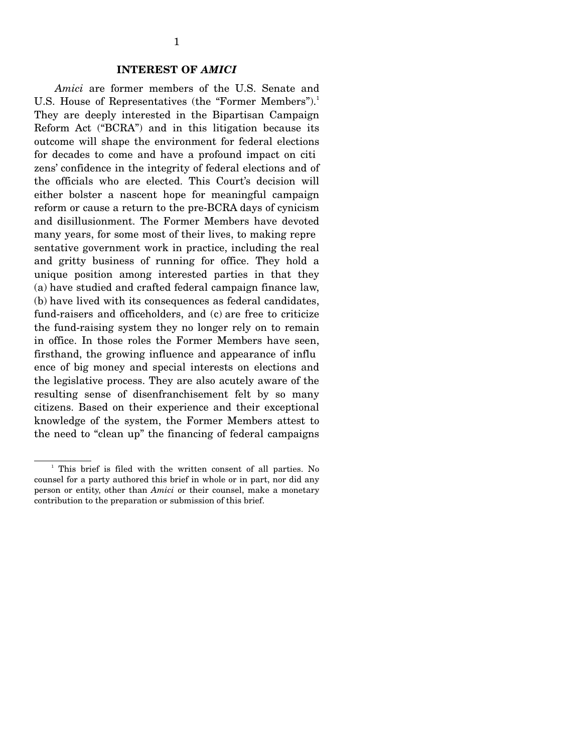#### **INTEREST OF** *AMICI*

*Amici* are former members of the U.S. Senate and U.S. House of Representatives (the "Former Members").<sup>1</sup> They are deeply interested in the Bipartisan Campaign Reform Act ("BCRA") and in this litigation because its outcome will shape the environment for federal elections for decades to come and have a profound impact on citi zens' confidence in the integrity of federal elections and of the officials who are elected. This Court's decision will either bolster a nascent hope for meaningful campaign reform or cause a return to the pre-BCRA days of cynicism and disillusionment. The Former Members have devoted many years, for some most of their lives, to making repre sentative government work in practice, including the real and gritty business of running for office. They hold a unique position among interested parties in that they (a) have studied and crafted federal campaign finance law, (b) have lived with its consequences as federal candidates, fund-raisers and officeholders, and (c) are free to criticize the fund-raising system they no longer rely on to remain in office. In those roles the Former Members have seen, firsthand, the growing influence and appearance of influ ence of big money and special interests on elections and the legislative process. They are also acutely aware of the resulting sense of disenfranchisement felt by so many citizens. Based on their experience and their exceptional knowledge of the system, the Former Members attest to the need to "clean up" the financing of federal campaigns

<sup>&</sup>lt;sup>1</sup> This brief is filed with the written consent of all parties. No counsel for a party authored this brief in whole or in part, nor did any person or entity, other than *Amici* or their counsel, make a monetary contribution to the preparation or submission of this brief.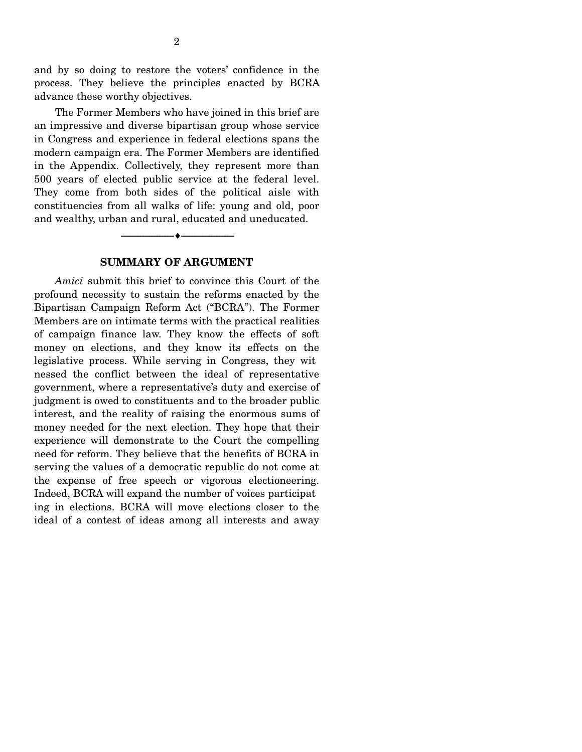and by so doing to restore the voters' confidence in the process. They believe the principles enacted by BCRA advance these worthy objectives.

The Former Members who have joined in this brief are an impressive and diverse bipartisan group whose service in Congress and experience in federal elections spans the modern campaign era. The Former Members are identified in the Appendix. Collectively, they represent more than 500 years of elected public service at the federal level. They come from both sides of the political aisle with constituencies from all walks of life: young and old, poor and wealthy, urban and rural, educated and uneducated.

#### **SUMMARY OF ARGUMENT**

----------------------------- ------------------------------

----♦-- -

*Amici* submit this brief to convince this Court of the profound necessity to sustain the reforms enacted by the Bipartisan Campaign Reform Act ("BCRA"). The Former Members are on intimate terms with the practical realities of campaign finance law. They know the effects of soft money on elections, and they know its effects on the legislative process. While serving in Congress, they wit nessed the conflict between the ideal of representative government, where a representative's duty and exercise of judgment is owed to constituents and to the broader public interest, and the reality of raising the enormous sums of money needed for the next election. They hope that their experience will demonstrate to the Court the compelling need for reform. They believe that the benefits of BCRA in serving the values of a democratic republic do not come at the expense of free speech or vigorous electioneering. Indeed, BCRA will expand the number of voices participat ing in elections. BCRA will move elections closer to the ideal of a contest of ideas among all interests and away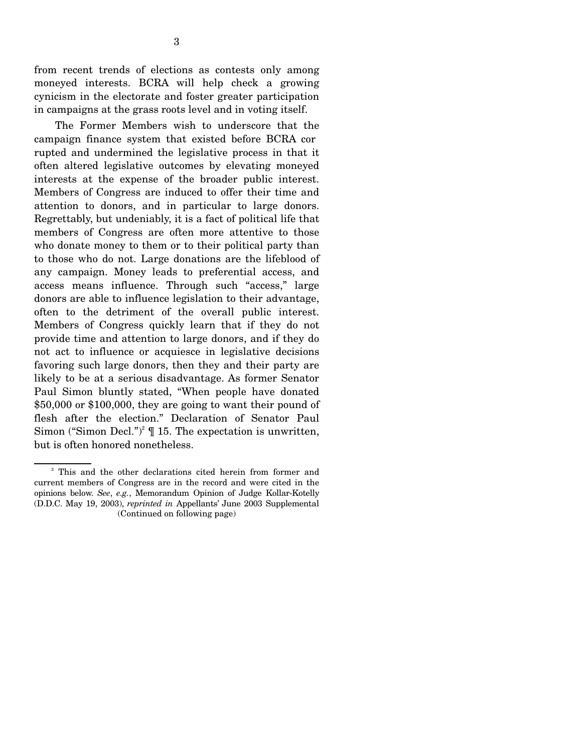from recent trends of elections as contests only among moneyed interests. BCRA will help check a growing cynicism in the electorate and foster greater participation in campaigns at the grass roots level and in voting itself.

The Former Members wish to underscore that the campaign finance system that existed before BCRA cor rupted and undermined the legislative process in that it often altered legislative outcomes by elevating moneyed interests at the expense of the broader public interest. Members of Congress are induced to offer their time and attention to donors, and in particular to large donors. Regrettably, but undeniably, it is a fact of political life that members of Congress are often more attentive to those who donate money to them or to their political party than to those who do not. Large donations are the lifeblood of any campaign. Money leads to preferential access, and access means influence. Through such "access," large donors are able to influence legislation to their advantage, often to the detriment of the overall public interest. Members of Congress quickly learn that if they do not provide time and attention to large donors, and if they do not act to influence or acquiesce in legislative decisions favoring such large donors, then they and their party are likely to be at a serious disadvantage. As former Senator Paul Simon bluntly stated, "When people have donated \$50,000 or \$100,000, they are going to want their pound of flesh after the election." Declaration of Senator Paul Simon ("Simon Decl.")<sup>2</sup>  $\P$  15. The expectation is unwritten, but is often honored nonetheless.

<sup>&</sup>lt;sup>2</sup> This and the other declarations cited herein from former and current members of Congress are in the record and were cited in the opinions below. *See*, *e.g.*, Memorandum Opinion of Judge Kollar-Kotelly (D.D.C. May 19, 2003), *reprinted in* Appellants' June 2003 Supplemental (Continued on following page)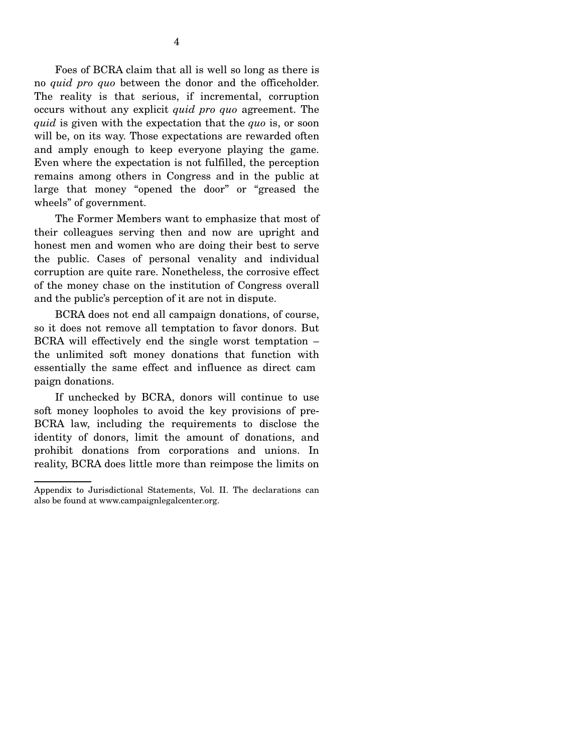Foes of BCRA claim that all is well so long as there is no *quid pro quo* between the donor and the officeholder. The reality is that serious, if incremental, corruption occurs without any explicit *quid pro quo* agreement. The *quid* is given with the expectation that the *quo* is, or soon will be, on its way. Those expectations are rewarded often and amply enough to keep everyone playing the game. Even where the expectation is not fulfilled, the perception remains among others in Congress and in the public at large that money "opened the door" or "greased the wheels" of government.

The Former Members want to emphasize that most of their colleagues serving then and now are upright and honest men and women who are doing their best to serve the public. Cases of personal venality and individual corruption are quite rare. Nonetheless, the corrosive effect of the money chase on the institution of Congress overall and the public's perception of it are not in dispute.

BCRA does not end all campaign donations, of course, so it does not remove all temptation to favor donors. But BCRA will effectively end the single worst temptation – the unlimited soft money donations that function with essentially the same effect and influence as direct cam paign donations.

If unchecked by BCRA, donors will continue to use soft money loopholes to avoid the key provisions of pre-BCRA law, including the requirements to disclose the identity of donors, limit the amount of donations, and prohibit donations from corporations and unions. In reality, BCRA does little more than reimpose the limits on

Appendix to Jurisdictional Statements, Vol. II. The declarations can also be found at www.campaignlegalcenter.org.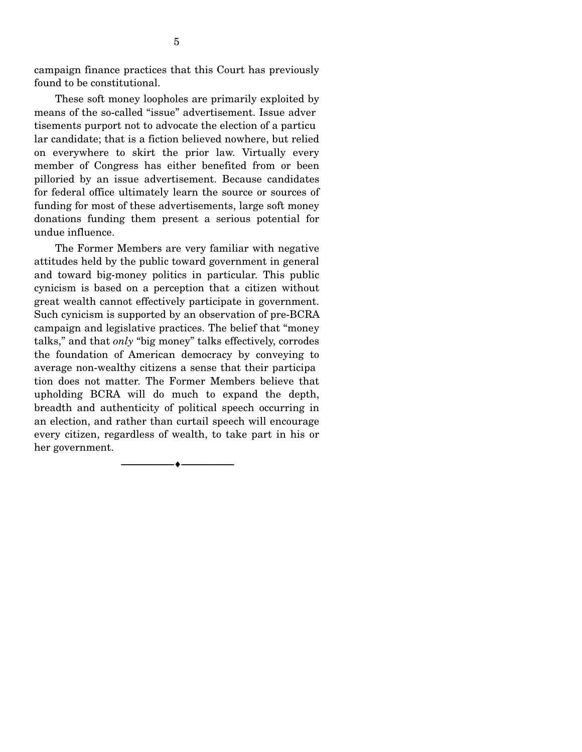campaign finance practices that this Court has previously found to be constitutional.

These soft money loopholes are primarily exploited by means of the so-called "issue" advertisement. Issue adver tisements purport not to advocate the election of a particu lar candidate; that is a fiction believed nowhere, but relied on everywhere to skirt the prior law. Virtually every member of Congress has either benefited from or been pilloried by an issue advertisement. Because candidates for federal office ultimately learn the source or sources of funding for most of these advertisements, large soft money donations funding them present a serious potential for undue influence.

The Former Members are very familiar with negative attitudes held by the public toward government in general and toward big-money politics in particular. This public cynicism is based on a perception that a citizen without great wealth cannot effectively participate in government. Such cynicism is supported by an observation of pre-BCRA campaign and legislative practices. The belief that "money talks," and that *only* "big money" talks effectively, corrodes the foundation of American democracy by conveying to average non-wealthy citizens a sense that their participa tion does not matter. The Former Members believe that upholding BCRA will do much to expand the depth, breadth and authenticity of political speech occurring in an election, and rather than curtail speech will encourage every citizen, regardless of wealth, to take part in his or her government.

----------------------------- ------------------------------

----♦-- -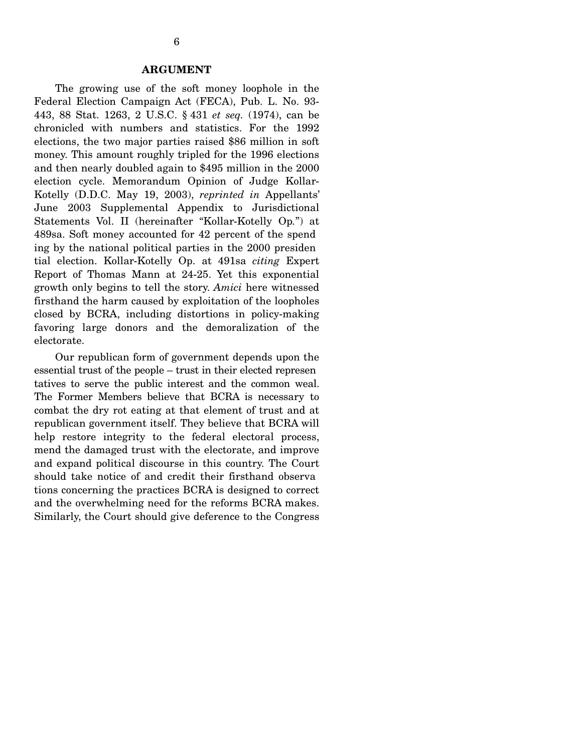#### **ARGUMENT**

The growing use of the soft money loophole in the Federal Election Campaign Act (FECA), Pub. L. No. 93- 443, 88 Stat. 1263, 2 U.S.C. § 431 *et seq.* (1974), can be chronicled with numbers and statistics. For the 1992 elections, the two major parties raised \$86 million in soft money. This amount roughly tripled for the 1996 elections and then nearly doubled again to \$495 million in the 2000 election cycle. Memorandum Opinion of Judge Kollar-Kotelly (D.D.C. May 19, 2003), *reprinted in* Appellants' June 2003 Supplemental Appendix to Jurisdictional Statements Vol. II (hereinafter "Kollar-Kotelly Op*.*") at 489sa. Soft money accounted for 42 percent of the spend ing by the national political parties in the 2000 presiden tial election. Kollar-Kotelly Op. at 491sa *citing* Expert Report of Thomas Mann at 24-25. Yet this exponential growth only begins to tell the story. *Amici* here witnessed firsthand the harm caused by exploitation of the loopholes closed by BCRA, including distortions in policy-making favoring large donors and the demoralization of the electorate.

Our republican form of government depends upon the essential trust of the people – trust in their elected represen tatives to serve the public interest and the common weal. The Former Members believe that BCRA is necessary to combat the dry rot eating at that element of trust and at republican government itself. They believe that BCRA will help restore integrity to the federal electoral process, mend the damaged trust with the electorate, and improve and expand political discourse in this country. The Court should take notice of and credit their firsthand observa tions concerning the practices BCRA is designed to correct and the overwhelming need for the reforms BCRA makes. Similarly, the Court should give deference to the Congress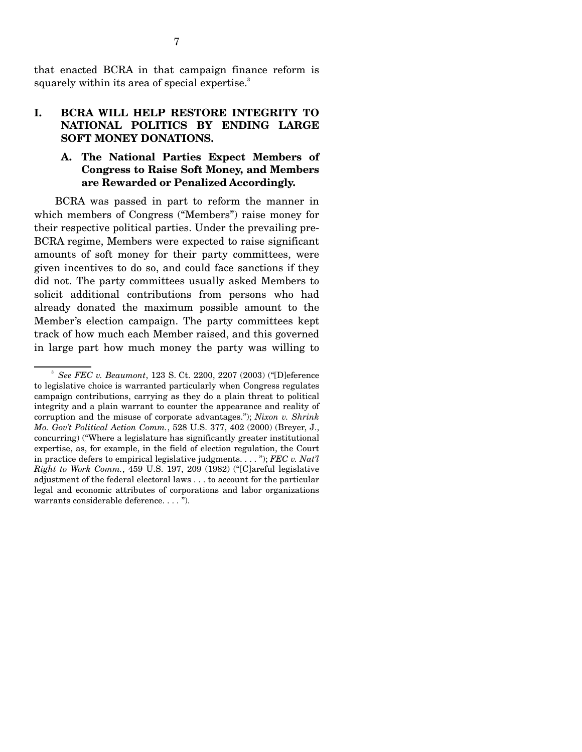that enacted BCRA in that campaign finance reform is squarely within its area of special expertise.<sup>3</sup>

# **I. BCRA WILL HELP RESTORE INTEGRITY TO NATIONAL POLITICS BY ENDING LARGE SOFT MONEY DONATIONS.**

# **A. The National Parties Expect Members of Congress to Raise Soft Money, and Members are Rewarded or Penalized Accordingly.**

BCRA was passed in part to reform the manner in which members of Congress ("Members") raise money for their respective political parties. Under the prevailing pre-BCRA regime, Members were expected to raise significant amounts of soft money for their party committees, were given incentives to do so, and could face sanctions if they did not. The party committees usually asked Members to solicit additional contributions from persons who had already donated the maximum possible amount to the Member's election campaign. The party committees kept track of how much each Member raised, and this governed in large part how much money the party was willing to

<sup>3</sup>*See FEC v. Beaumont*, 123 S. Ct. 2200, 2207 (2003) ("[D]eference to legislative choice is warranted particularly when Congress regulates campaign contributions, carrying as they do a plain threat to political integrity and a plain warrant to counter the appearance and reality of corruption and the misuse of corporate advantages."); *Nixon v. Shrink Mo. Gov't Political Action Comm.*, 528 U.S. 377, 402 (2000) (Breyer, J., concurring) ("Where a legislature has significantly greater institutional expertise, as, for example, in the field of election regulation, the Court in practice defers to empirical legislative judgments. . . . "); *FEC v. Nat'l Right to Work Comm.*, 459 U.S. 197, 209 (1982) ("[C]areful legislative adjustment of the federal electoral laws . . . to account for the particular legal and economic attributes of corporations and labor organizations warrants considerable deference. . . . ").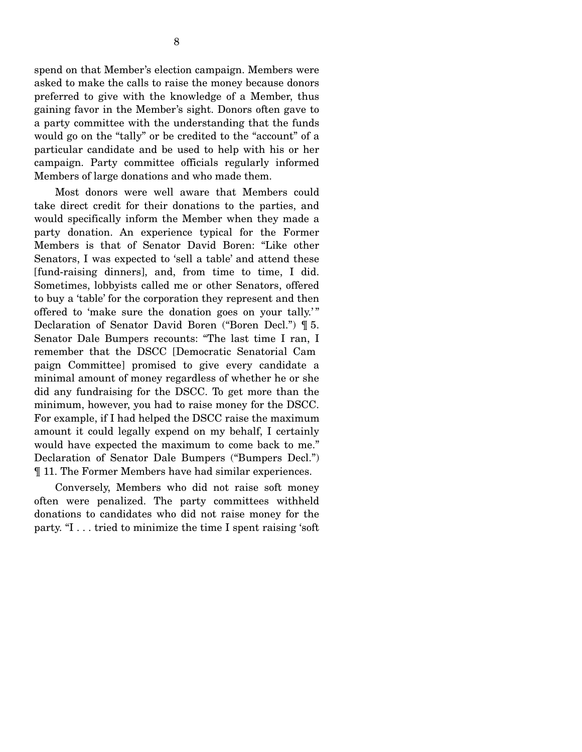spend on that Member's election campaign. Members were asked to make the calls to raise the money because donors preferred to give with the knowledge of a Member, thus gaining favor in the Member's sight. Donors often gave to a party committee with the understanding that the funds would go on the "tally" or be credited to the "account" of a particular candidate and be used to help with his or her campaign. Party committee officials regularly informed Members of large donations and who made them.

Most donors were well aware that Members could take direct credit for their donations to the parties, and would specifically inform the Member when they made a party donation. An experience typical for the Former Members is that of Senator David Boren: "Like other Senators, I was expected to 'sell a table' and attend these [fund-raising dinners], and, from time to time, I did. Sometimes, lobbyists called me or other Senators, offered to buy a 'table' for the corporation they represent and then offered to 'make sure the donation goes on your tally.' " Declaration of Senator David Boren ("Boren Decl.") ¶ 5. Senator Dale Bumpers recounts: "The last time I ran, I remember that the DSCC [Democratic Senatorial Cam paign Committee] promised to give every candidate a minimal amount of money regardless of whether he or she did any fundraising for the DSCC. To get more than the minimum, however, you had to raise money for the DSCC. For example, if I had helped the DSCC raise the maximum amount it could legally expend on my behalf, I certainly would have expected the maximum to come back to me." Declaration of Senator Dale Bumpers ("Bumpers Decl.") ¶ 11. The Former Members have had similar experiences.

Conversely, Members who did not raise soft money often were penalized. The party committees withheld donations to candidates who did not raise money for the party. "I . . . tried to minimize the time I spent raising 'soft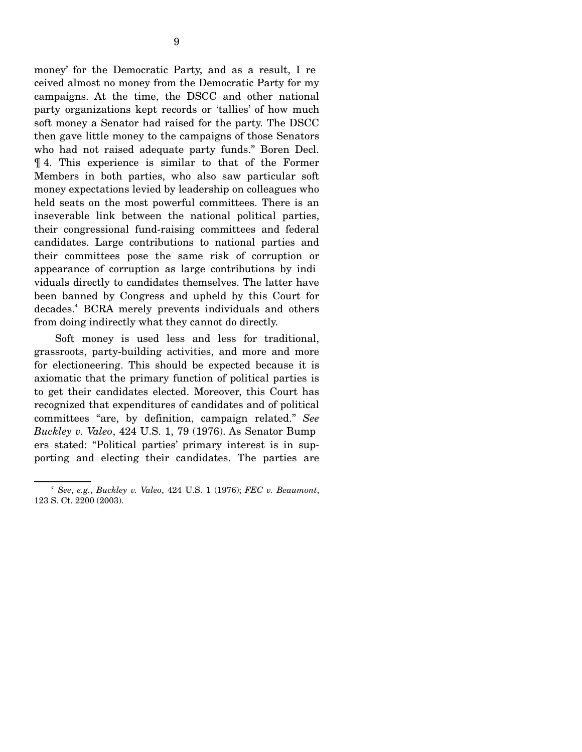money' for the Democratic Party, and as a result, I re ceived almost no money from the Democratic Party for my campaigns. At the time, the DSCC and other national party organizations kept records or 'tallies' of how much soft money a Senator had raised for the party. The DSCC then gave little money to the campaigns of those Senators who had not raised adequate party funds." Boren Decl. ¶ 4. This experience is similar to that of the Former Members in both parties, who also saw particular soft money expectations levied by leadership on colleagues who held seats on the most powerful committees. There is an inseverable link between the national political parties, their congressional fund-raising committees and federal candidates. Large contributions to national parties and their committees pose the same risk of corruption or appearance of corruption as large contributions by indi viduals directly to candidates themselves. The latter have been banned by Congress and upheld by this Court for decades.<sup>4</sup> BCRA merely prevents individuals and others from doing indirectly what they cannot do directly.

Soft money is used less and less for traditional, grassroots, party-building activities, and more and more for electioneering. This should be expected because it is axiomatic that the primary function of political parties is to get their candidates elected. Moreover, this Court has recognized that expenditures of candidates and of political committees "are, by definition, campaign related." *See Buckley v. Valeo*, 424 U.S. 1, 79 (1976). As Senator Bump ers stated: "Political parties' primary interest is in supporting and electing their candidates. The parties are

*<sup>4</sup> See*, *e.g.*, *Buckley v. Valeo*, 424 U.S. 1 (1976); *FEC v. Beaumont*, 123 S. Ct. 2200 (2003).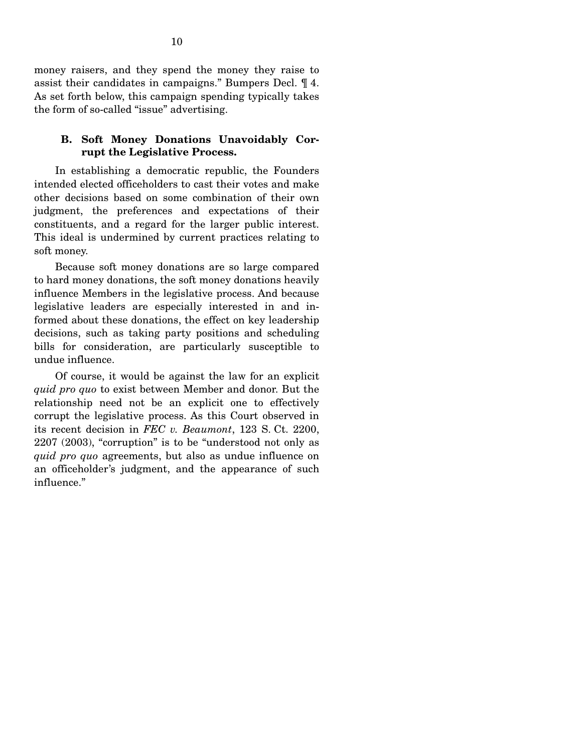money raisers, and they spend the money they raise to assist their candidates in campaigns." Bumpers Decl. ¶ 4. As set forth below, this campaign spending typically takes the form of so-called "issue" advertising.

#### **B. Soft Money Donations Unavoidably Corrupt the Legislative Process.**

In establishing a democratic republic, the Founders intended elected officeholders to cast their votes and make other decisions based on some combination of their own judgment, the preferences and expectations of their constituents, and a regard for the larger public interest. This ideal is undermined by current practices relating to soft money.

Because soft money donations are so large compared to hard money donations, the soft money donations heavily influence Members in the legislative process. And because legislative leaders are especially interested in and informed about these donations, the effect on key leadership decisions, such as taking party positions and scheduling bills for consideration, are particularly susceptible to undue influence.

Of course, it would be against the law for an explicit *quid pro quo* to exist between Member and donor. But the relationship need not be an explicit one to effectively corrupt the legislative process. As this Court observed in its recent decision in *FEC v. Beaumont*, 123 S. Ct. 2200, 2207 (2003), "corruption" is to be "understood not only as *quid pro quo* agreements, but also as undue influence on an officeholder's judgment, and the appearance of such influence."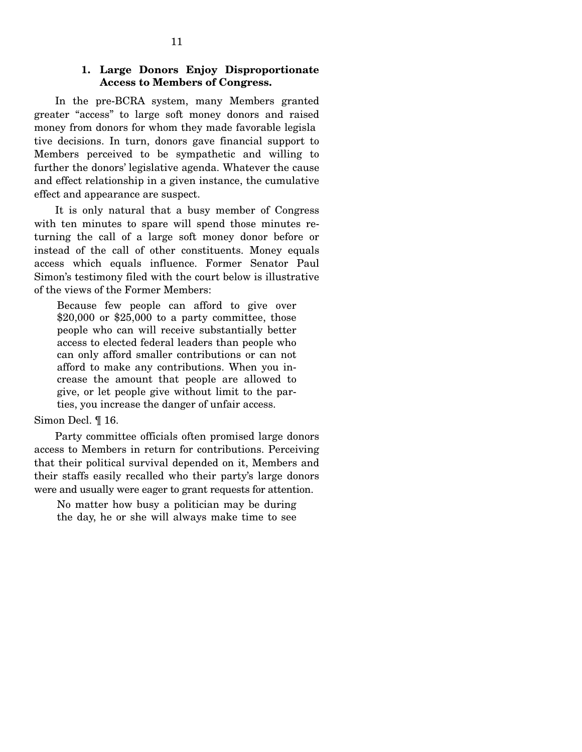# **1. Large Donors Enjoy Disproportionate Access to Members of Congress.**

In the pre-BCRA system, many Members granted greater "access" to large soft money donors and raised money from donors for whom they made favorable legisla tive decisions. In turn, donors gave financial support to Members perceived to be sympathetic and willing to further the donors' legislative agenda. Whatever the cause and effect relationship in a given instance, the cumulative effect and appearance are suspect.

It is only natural that a busy member of Congress with ten minutes to spare will spend those minutes returning the call of a large soft money donor before or instead of the call of other constituents. Money equals access which equals influence. Former Senator Paul Simon's testimony filed with the court below is illustrative of the views of the Former Members:

Because few people can afford to give over  $$20,000$  or  $$25,000$  to a party committee, those people who can will receive substantially better access to elected federal leaders than people who can only afford smaller contributions or can not afford to make any contributions. When you increase the amount that people are allowed to give, or let people give without limit to the parties, you increase the danger of unfair access.

#### Simon Decl. ¶ 16.

Party committee officials often promised large donors access to Members in return for contributions. Perceiving that their political survival depended on it, Members and their staffs easily recalled who their party's large donors were and usually were eager to grant requests for attention.

No matter how busy a politician may be during the day, he or she will always make time to see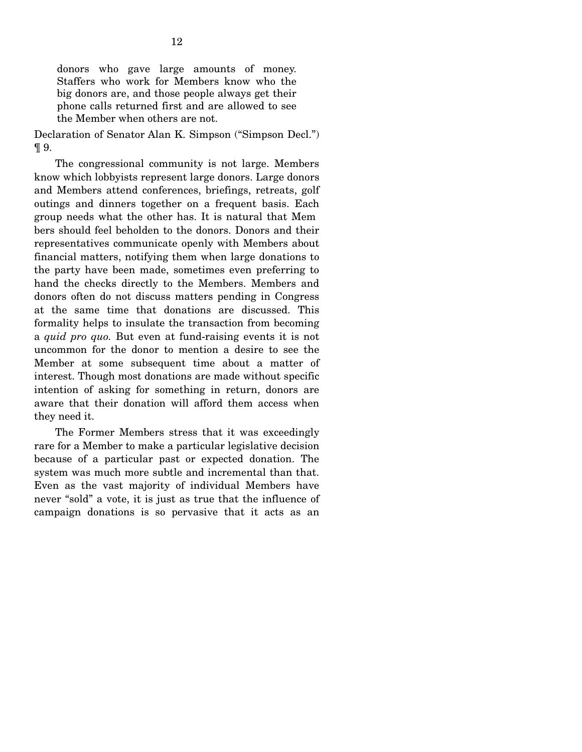donors who gave large amounts of money. Staffers who work for Members know who the big donors are, and those people always get their phone calls returned first and are allowed to see the Member when others are not.

Declaration of Senator Alan K. Simpson ("Simpson Decl.") ¶ 9.

The congressional community is not large. Members know which lobbyists represent large donors. Large donors and Members attend conferences, briefings, retreats, golf outings and dinners together on a frequent basis. Each group needs what the other has. It is natural that Mem bers should feel beholden to the donors. Donors and their representatives communicate openly with Members about financial matters, notifying them when large donations to the party have been made, sometimes even preferring to hand the checks directly to the Members. Members and donors often do not discuss matters pending in Congress at the same time that donations are discussed. This formality helps to insulate the transaction from becoming a *quid pro quo.* But even at fund-raising events it is not uncommon for the donor to mention a desire to see the Member at some subsequent time about a matter of interest. Though most donations are made without specific intention of asking for something in return, donors are aware that their donation will afford them access when they need it.

The Former Members stress that it was exceedingly rare for a Member to make a particular legislative decision because of a particular past or expected donation. The system was much more subtle and incremental than that. Even as the vast majority of individual Members have never "sold" a vote, it is just as true that the influence of campaign donations is so pervasive that it acts as an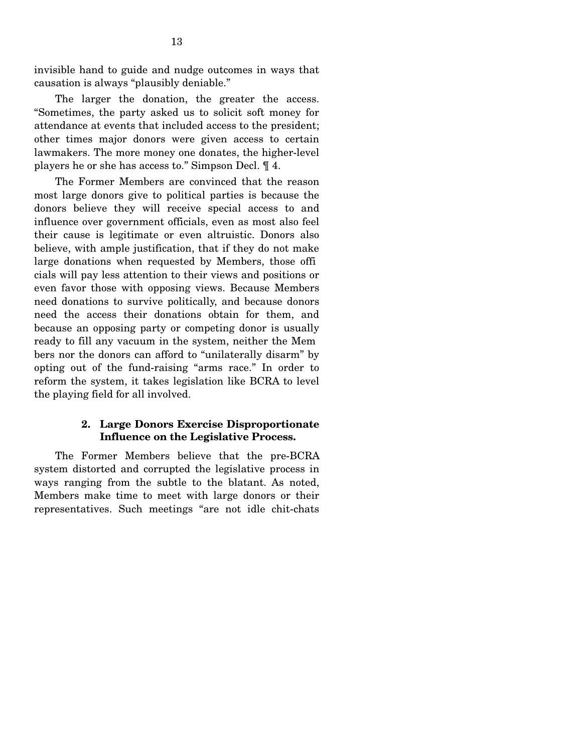invisible hand to guide and nudge outcomes in ways that causation is always "plausibly deniable."

The larger the donation, the greater the access. "Sometimes, the party asked us to solicit soft money for attendance at events that included access to the president; other times major donors were given access to certain lawmakers. The more money one donates, the higher-level players he or she has access to." Simpson Decl. ¶ 4.

The Former Members are convinced that the reason most large donors give to political parties is because the donors believe they will receive special access to and influence over government officials, even as most also feel their cause is legitimate or even altruistic. Donors also believe, with ample justification, that if they do not make large donations when requested by Members, those offi cials will pay less attention to their views and positions or even favor those with opposing views. Because Members need donations to survive politically, and because donors need the access their donations obtain for them, and because an opposing party or competing donor is usually ready to fill any vacuum in the system, neither the Mem bers nor the donors can afford to "unilaterally disarm" by opting out of the fund-raising "arms race." In order to reform the system, it takes legislation like BCRA to level the playing field for all involved.

# **2. Large Donors Exercise Disproportionate Influence on the Legislative Process.**

The Former Members believe that the pre-BCRA system distorted and corrupted the legislative process in ways ranging from the subtle to the blatant. As noted, Members make time to meet with large donors or their representatives. Such meetings "are not idle chit-chats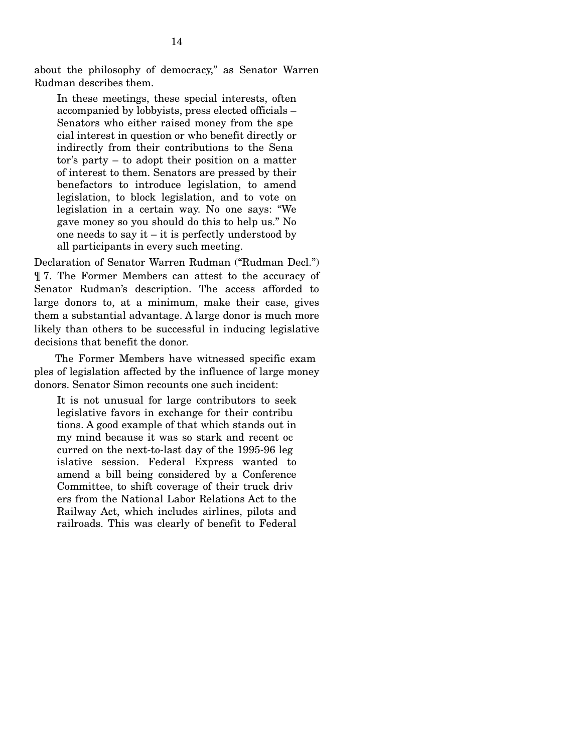about the philosophy of democracy," as Senator Warren Rudman describes them.

In these meetings, these special interests, often accompanied by lobbyists, press elected officials – Senators who either raised money from the spe cial interest in question or who benefit directly or indirectly from their contributions to the Sena tor's party – to adopt their position on a matter of interest to them. Senators are pressed by their benefactors to introduce legislation, to amend legislation, to block legislation, and to vote on legislation in a certain way. No one says: "We gave money so you should do this to help us." No one needs to say it  $-$  it is perfectly understood by all participants in every such meeting.

Declaration of Senator Warren Rudman ("Rudman Decl.") ¶ 7. The Former Members can attest to the accuracy of Senator Rudman's description. The access afforded to large donors to, at a minimum, make their case, gives them a substantial advantage. A large donor is much more likely than others to be successful in inducing legislative decisions that benefit the donor.

The Former Members have witnessed specific exam ples of legislation affected by the influence of large money donors. Senator Simon recounts one such incident:

It is not unusual for large contributors to seek legislative favors in exchange for their contribu tions. A good example of that which stands out in my mind because it was so stark and recent oc curred on the next-to-last day of the 1995-96 leg islative session. Federal Express wanted to amend a bill being considered by a Conference Committee, to shift coverage of their truck driv ers from the National Labor Relations Act to the Railway Act, which includes airlines, pilots and railroads. This was clearly of benefit to Federal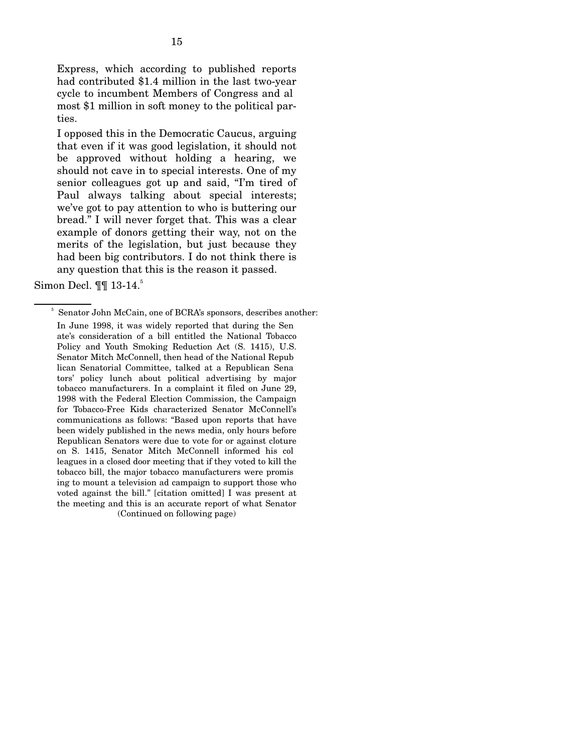Express, which according to published reports had contributed \$1.4 million in the last two-year cycle to incumbent Members of Congress and al most \$1 million in soft money to the political parties.

I opposed this in the Democratic Caucus, arguing that even if it was good legislation, it should not be approved without holding a hearing, we should not cave in to special interests. One of my senior colleagues got up and said, "I'm tired of Paul always talking about special interests; we've got to pay attention to who is buttering our bread." I will never forget that. This was a clear example of donors getting their way, not on the merits of the legislation, but just because they had been big contributors. I do not think there is any question that this is the reason it passed.

Simon Decl. ¶¶ 13-14.<sup>5</sup>

<sup>&</sup>lt;sup>5</sup> Senator John McCain, one of BCRA's sponsors, describes another:

In June 1998, it was widely reported that during the Sen ate's consideration of a bill entitled the National Tobacco Policy and Youth Smoking Reduction Act (S. 1415), U.S. Senator Mitch McConnell, then head of the National Repub lican Senatorial Committee, talked at a Republican Sena tors' policy lunch about political advertising by major tobacco manufacturers. In a complaint it filed on June 29, 1998 with the Federal Election Commission, the Campaign for Tobacco-Free Kids characterized Senator McConnell's communications as follows: "Based upon reports that have been widely published in the news media, only hours before Republican Senators were due to vote for or against cloture on S. 1415, Senator Mitch McConnell informed his col leagues in a closed door meeting that if they voted to kill the tobacco bill, the major tobacco manufacturers were promis ing to mount a television ad campaign to support those who voted against the bill." [citation omitted] I was present at the meeting and this is an accurate report of what Senator (Continued on following page)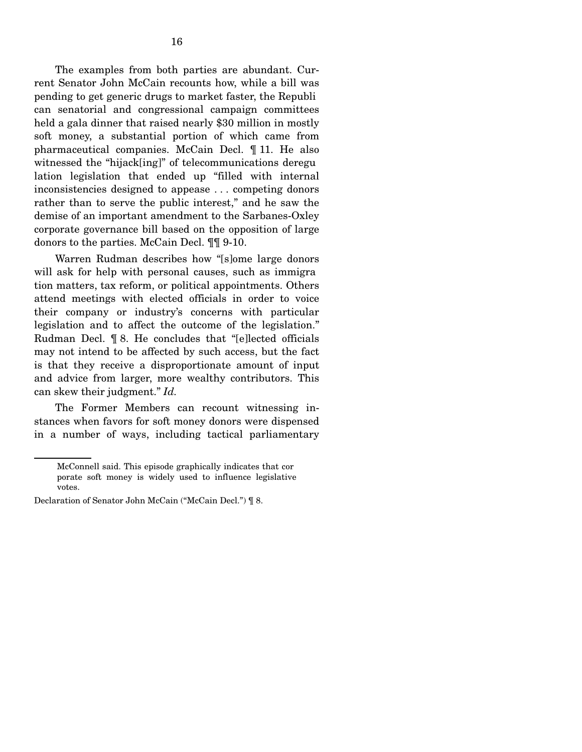The examples from both parties are abundant. Current Senator John McCain recounts how, while a bill was pending to get generic drugs to market faster, the Republi can senatorial and congressional campaign committees held a gala dinner that raised nearly \$30 million in mostly soft money, a substantial portion of which came from pharmaceutical companies. McCain Decl. ¶ 11. He also witnessed the "hijack[ing]" of telecommunications deregu lation legislation that ended up "filled with internal inconsistencies designed to appease . . . competing donors rather than to serve the public interest," and he saw the demise of an important amendment to the Sarbanes-Oxley corporate governance bill based on the opposition of large donors to the parties. McCain Decl. ¶¶ 9-10.

Warren Rudman describes how "[s]ome large donors will ask for help with personal causes, such as immigra tion matters, tax reform, or political appointments. Others attend meetings with elected officials in order to voice their company or industry's concerns with particular legislation and to affect the outcome of the legislation." Rudman Decl. ¶ 8. He concludes that "[e]lected officials may not intend to be affected by such access, but the fact is that they receive a disproportionate amount of input and advice from larger, more wealthy contributors. This can skew their judgment." *Id.* 

The Former Members can recount witnessing instances when favors for soft money donors were dispensed in a number of ways, including tactical parliamentary

McConnell said. This episode graphically indicates that cor porate soft money is widely used to influence legislative votes.

Declaration of Senator John McCain ("McCain Decl.") ¶ 8.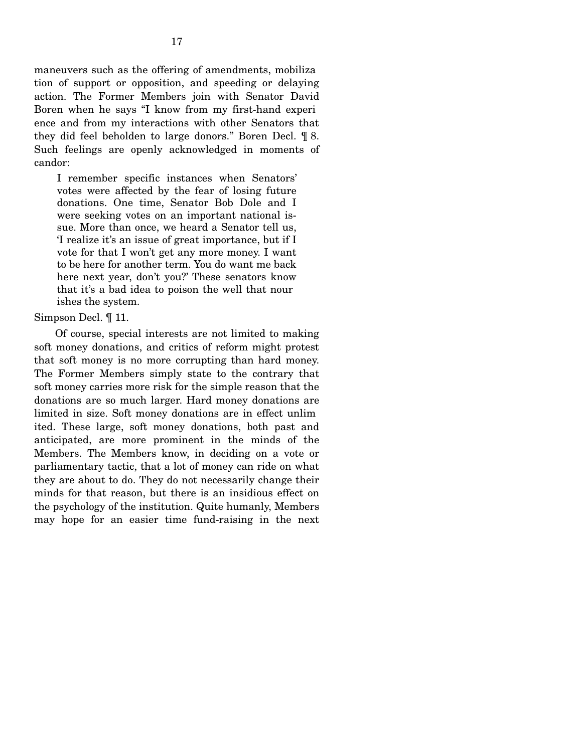maneuvers such as the offering of amendments, mobiliza tion of support or opposition, and speeding or delaying action. The Former Members join with Senator David Boren when he says "I know from my first-hand experi ence and from my interactions with other Senators that they did feel beholden to large donors." Boren Decl. ¶ 8. Such feelings are openly acknowledged in moments of candor:

I remember specific instances when Senators' votes were affected by the fear of losing future donations. One time, Senator Bob Dole and I were seeking votes on an important national issue. More than once, we heard a Senator tell us, 'I realize it's an issue of great importance, but if I vote for that I won't get any more money. I want to be here for another term. You do want me back here next year, don't you?' These senators know that it's a bad idea to poison the well that nour ishes the system.

#### Simpson Decl. ¶ 11.

Of course, special interests are not limited to making soft money donations, and critics of reform might protest that soft money is no more corrupting than hard money. The Former Members simply state to the contrary that soft money carries more risk for the simple reason that the donations are so much larger. Hard money donations are limited in size. Soft money donations are in effect unlim ited. These large, soft money donations, both past and anticipated, are more prominent in the minds of the Members. The Members know, in deciding on a vote or parliamentary tactic, that a lot of money can ride on what they are about to do. They do not necessarily change their minds for that reason, but there is an insidious effect on the psychology of the institution. Quite humanly, Members may hope for an easier time fund-raising in the next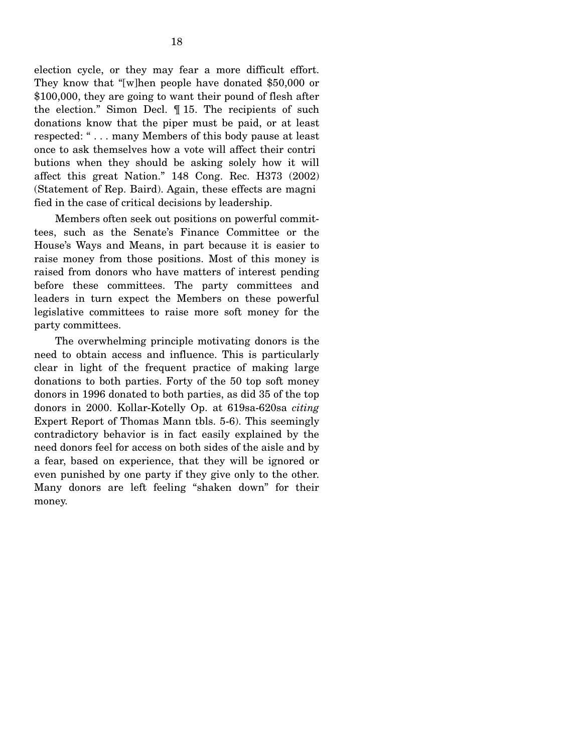election cycle, or they may fear a more difficult effort. They know that "[w]hen people have donated \$50,000 or \$100,000, they are going to want their pound of flesh after the election." Simon Decl. ¶ 15. The recipients of such donations know that the piper must be paid, or at least respected: " . . . many Members of this body pause at least once to ask themselves how a vote will affect their contri butions when they should be asking solely how it will affect this great Nation." 148 Cong. Rec. H373 (2002) (Statement of Rep. Baird). Again, these effects are magni fied in the case of critical decisions by leadership.

Members often seek out positions on powerful committees, such as the Senate's Finance Committee or the House's Ways and Means, in part because it is easier to raise money from those positions. Most of this money is raised from donors who have matters of interest pending before these committees. The party committees and leaders in turn expect the Members on these powerful legislative committees to raise more soft money for the party committees.

The overwhelming principle motivating donors is the need to obtain access and influence. This is particularly clear in light of the frequent practice of making large donations to both parties. Forty of the 50 top soft money donors in 1996 donated to both parties, as did 35 of the top donors in 2000. Kollar-Kotelly Op. at 619sa-620sa *citing*  Expert Report of Thomas Mann tbls. 5-6). This seemingly contradictory behavior is in fact easily explained by the need donors feel for access on both sides of the aisle and by a fear, based on experience, that they will be ignored or even punished by one party if they give only to the other. Many donors are left feeling "shaken down" for their money.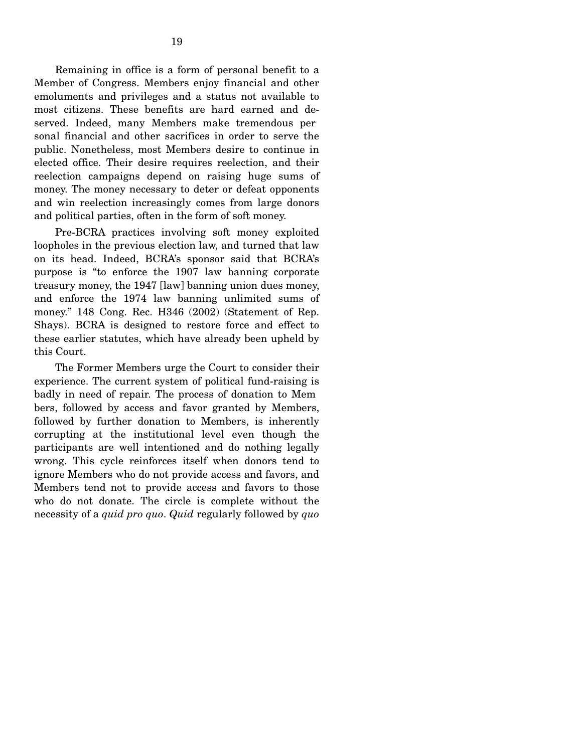Remaining in office is a form of personal benefit to a Member of Congress. Members enjoy financial and other emoluments and privileges and a status not available to most citizens. These benefits are hard earned and deserved. Indeed, many Members make tremendous per sonal financial and other sacrifices in order to serve the public. Nonetheless, most Members desire to continue in elected office. Their desire requires reelection, and their reelection campaigns depend on raising huge sums of money. The money necessary to deter or defeat opponents and win reelection increasingly comes from large donors and political parties, often in the form of soft money.

Pre-BCRA practices involving soft money exploited loopholes in the previous election law, and turned that law on its head. Indeed, BCRA's sponsor said that BCRA's purpose is "to enforce the 1907 law banning corporate treasury money, the 1947 [law] banning union dues money, and enforce the 1974 law banning unlimited sums of money." 148 Cong. Rec. H346 (2002) (Statement of Rep. Shays). BCRA is designed to restore force and effect to these earlier statutes, which have already been upheld by this Court.

The Former Members urge the Court to consider their experience. The current system of political fund-raising is badly in need of repair. The process of donation to Mem bers, followed by access and favor granted by Members, followed by further donation to Members, is inherently corrupting at the institutional level even though the participants are well intentioned and do nothing legally wrong. This cycle reinforces itself when donors tend to ignore Members who do not provide access and favors, and Members tend not to provide access and favors to those who do not donate. The circle is complete without the necessity of a *quid pro quo*. *Quid* regularly followed by *quo*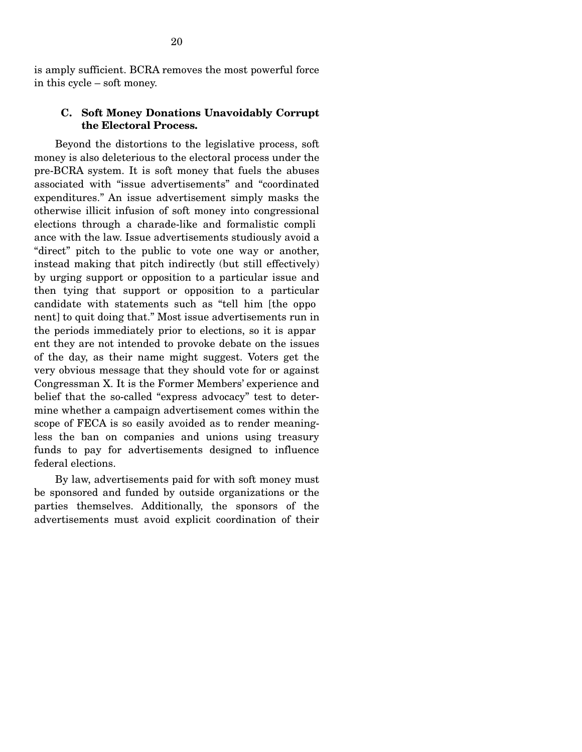# **C. Soft Money Donations Unavoidably Corrupt the Electoral Process.**

Beyond the distortions to the legislative process, soft money is also deleterious to the electoral process under the pre-BCRA system. It is soft money that fuels the abuses associated with "issue advertisements" and "coordinated expenditures." An issue advertisement simply masks the otherwise illicit infusion of soft money into congressional elections through a charade-like and formalistic compli ance with the law. Issue advertisements studiously avoid a "direct" pitch to the public to vote one way or another, instead making that pitch indirectly (but still effectively) by urging support or opposition to a particular issue and then tying that support or opposition to a particular candidate with statements such as "tell him [the oppo nent] to quit doing that." Most issue advertisements run in the periods immediately prior to elections, so it is appar ent they are not intended to provoke debate on the issues of the day, as their name might suggest. Voters get the very obvious message that they should vote for or against Congressman X. It is the Former Members' experience and belief that the so-called "express advocacy" test to determine whether a campaign advertisement comes within the scope of FECA is so easily avoided as to render meaningless the ban on companies and unions using treasury funds to pay for advertisements designed to influence federal elections.

By law, advertisements paid for with soft money must be sponsored and funded by outside organizations or the parties themselves. Additionally, the sponsors of the advertisements must avoid explicit coordination of their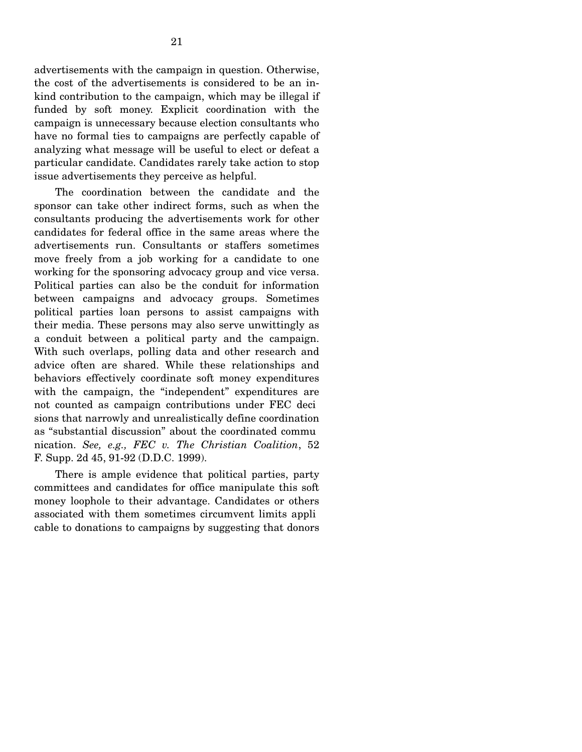advertisements with the campaign in question. Otherwise, the cost of the advertisements is considered to be an inkind contribution to the campaign, which may be illegal if funded by soft money. Explicit coordination with the campaign is unnecessary because election consultants who have no formal ties to campaigns are perfectly capable of analyzing what message will be useful to elect or defeat a particular candidate. Candidates rarely take action to stop issue advertisements they perceive as helpful.

The coordination between the candidate and the sponsor can take other indirect forms, such as when the consultants producing the advertisements work for other candidates for federal office in the same areas where the advertisements run. Consultants or staffers sometimes move freely from a job working for a candidate to one working for the sponsoring advocacy group and vice versa. Political parties can also be the conduit for information between campaigns and advocacy groups. Sometimes political parties loan persons to assist campaigns with their media. These persons may also serve unwittingly as a conduit between a political party and the campaign. With such overlaps, polling data and other research and advice often are shared. While these relationships and behaviors effectively coordinate soft money expenditures with the campaign, the "independent" expenditures are not counted as campaign contributions under FEC deci sions that narrowly and unrealistically define coordination as "substantial discussion" about the coordinated commu nication. *See, e.g., FEC v. The Christian Coalition*, 52 F. Supp. 2d 45, 91-92 (D.D.C. 1999).

There is ample evidence that political parties, party committees and candidates for office manipulate this soft money loophole to their advantage. Candidates or others associated with them sometimes circumvent limits appli cable to donations to campaigns by suggesting that donors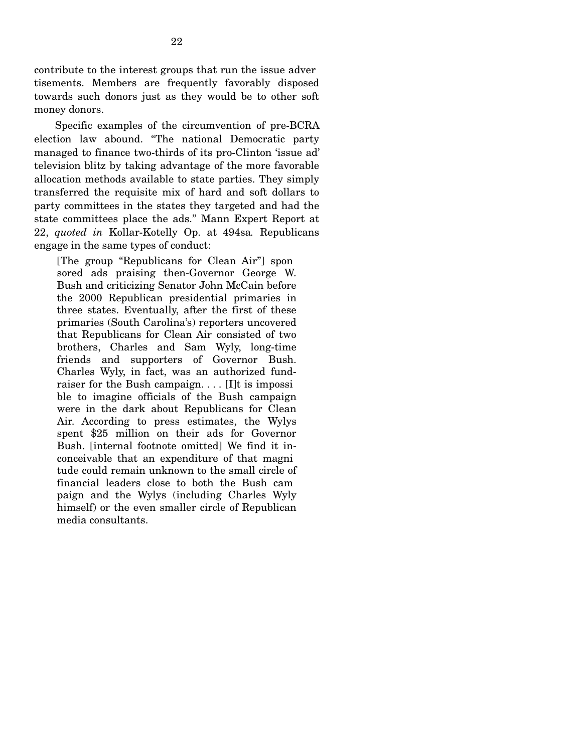contribute to the interest groups that run the issue adver tisements. Members are frequently favorably disposed towards such donors just as they would be to other soft money donors.

Specific examples of the circumvention of pre-BCRA election law abound. "The national Democratic party managed to finance two-thirds of its pro-Clinton 'issue ad' television blitz by taking advantage of the more favorable allocation methods available to state parties. They simply transferred the requisite mix of hard and soft dollars to party committees in the states they targeted and had the state committees place the ads." Mann Expert Report at 22, *quoted in* Kollar-Kotelly Op. at 494sa*.* Republicans engage in the same types of conduct:

[The group "Republicans for Clean Air"] spon sored ads praising then-Governor George W. Bush and criticizing Senator John McCain before the 2000 Republican presidential primaries in three states. Eventually, after the first of these primaries (South Carolina's) reporters uncovered that Republicans for Clean Air consisted of two brothers, Charles and Sam Wyly, long-time friends and supporters of Governor Bush. Charles Wyly, in fact, was an authorized fundraiser for the Bush campaign. . . . [I]t is impossi ble to imagine officials of the Bush campaign were in the dark about Republicans for Clean Air. According to press estimates, the Wylys spent \$25 million on their ads for Governor Bush. [internal footnote omitted] We find it inconceivable that an expenditure of that magni tude could remain unknown to the small circle of financial leaders close to both the Bush cam paign and the Wylys (including Charles Wyly himself) or the even smaller circle of Republican media consultants.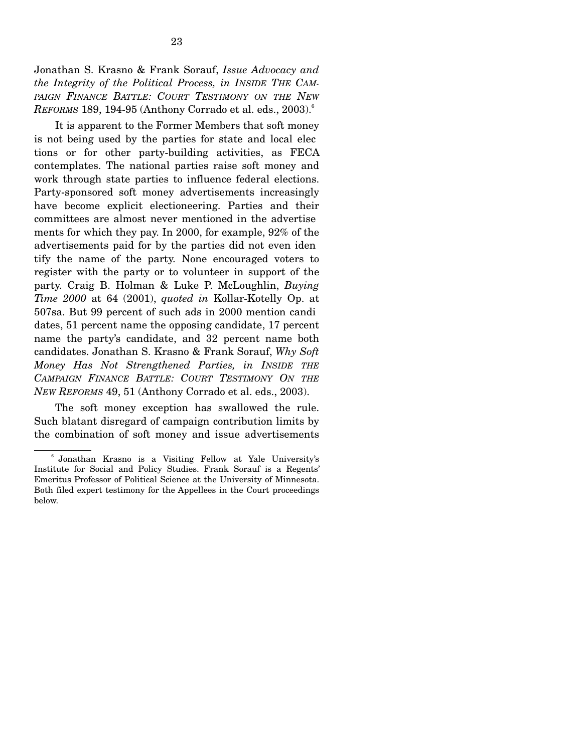Jonathan S. Krasno & Frank Sorauf, *Issue Advocacy and the Integrity of the Political Process, in INSIDE THE CAM-*PAIGN FINANCE BATTLE: COURT TESTIMONY ON THE NEW *REFORMS* 189, 194-95 (Anthony Corrado et al. eds., 2003).<sup>6</sup>

It is apparent to the Former Members that soft money is not being used by the parties for state and local elec tions or for other party-building activities, as FECA contemplates. The national parties raise soft money and work through state parties to influence federal elections. Party-sponsored soft money advertisements increasingly have become explicit electioneering. Parties and their committees are almost never mentioned in the advertise ments for which they pay. In 2000, for example, 92% of the advertisements paid for by the parties did not even iden tify the name of the party. None encouraged voters to register with the party or to volunteer in support of the party. Craig B. Holman & Luke P. McLoughlin, *Buying Time 2000* at 64 (2001), *quoted in* Kollar-Kotelly Op. at 507sa. But 99 percent of such ads in 2000 mention candi dates, 51 percent name the opposing candidate, 17 percent name the party's candidate, and 32 percent name both candidates. Jonathan S. Krasno & Frank Sorauf, *Why Soft Money Has Not Strengthened Parties, in INSIDE THE CAMPAIGN FINANCE BATTLE: COURT TESTIMONY ON THE NEW REFORMS* 49, 51 (Anthony Corrado et al. eds., 2003).

The soft money exception has swallowed the rule. Such blatant disregard of campaign contribution limits by the combination of soft money and issue advertisements

<sup>6</sup> Jonathan Krasno is a Visiting Fellow at Yale University's Institute for Social and Policy Studies. Frank Sorauf is a Regents' Emeritus Professor of Political Science at the University of Minnesota. Both filed expert testimony for the Appellees in the Court proceedings below.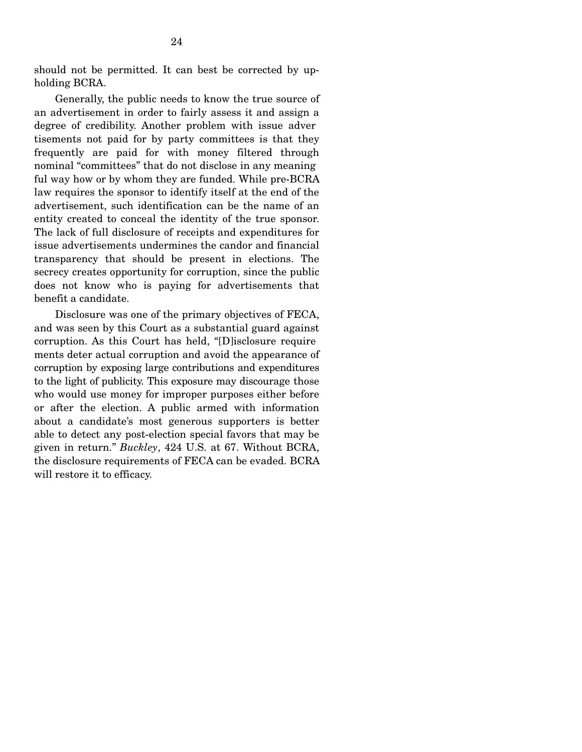should not be permitted. It can best be corrected by upholding BCRA.

Generally, the public needs to know the true source of an advertisement in order to fairly assess it and assign a degree of credibility. Another problem with issue adver tisements not paid for by party committees is that they frequently are paid for with money filtered through nominal "committees" that do not disclose in any meaning ful way how or by whom they are funded. While pre-BCRA law requires the sponsor to identify itself at the end of the advertisement, such identification can be the name of an entity created to conceal the identity of the true sponsor. The lack of full disclosure of receipts and expenditures for issue advertisements undermines the candor and financial transparency that should be present in elections. The secrecy creates opportunity for corruption, since the public does not know who is paying for advertisements that benefit a candidate.

Disclosure was one of the primary objectives of FECA, and was seen by this Court as a substantial guard against corruption. As this Court has held, "[D]isclosure require ments deter actual corruption and avoid the appearance of corruption by exposing large contributions and expenditures to the light of publicity. This exposure may discourage those who would use money for improper purposes either before or after the election. A public armed with information about a candidate's most generous supporters is better able to detect any post-election special favors that may be given in return." *Buckley*, 424 U.S. at 67. Without BCRA, the disclosure requirements of FECA can be evaded. BCRA will restore it to efficacy.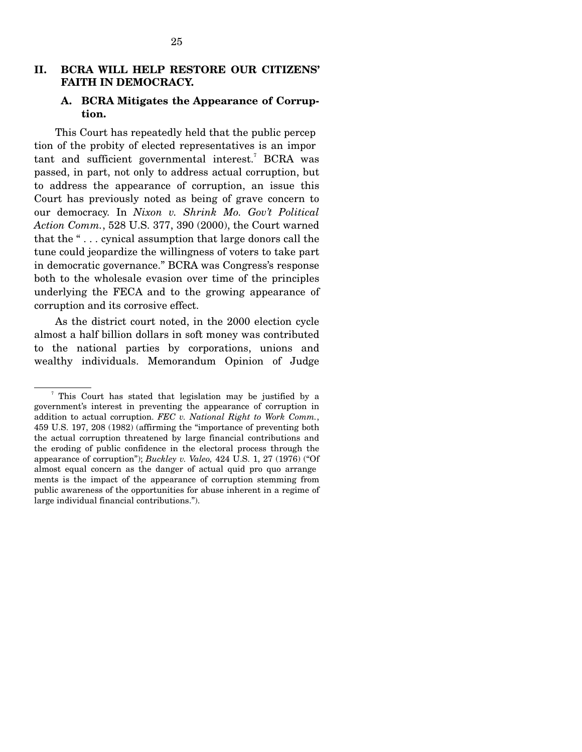# **II. BCRA WILL HELP RESTORE OUR CITIZENS' FAITH IN DEMOCRACY.**

# **A. BCRA Mitigates the Appearance of Corruption.**

This Court has repeatedly held that the public percep tion of the probity of elected representatives is an impor tant and sufficient governmental interest.<sup>7</sup> BCRA was passed, in part, not only to address actual corruption, but to address the appearance of corruption, an issue this Court has previously noted as being of grave concern to our democracy. In *Nixon v. Shrink Mo. Gov't Political Action Comm.*, 528 U.S. 377, 390 (2000), the Court warned that the " . . . cynical assumption that large donors call the tune could jeopardize the willingness of voters to take part in democratic governance." BCRA was Congress's response both to the wholesale evasion over time of the principles underlying the FECA and to the growing appearance of corruption and its corrosive effect.

As the district court noted, in the 2000 election cycle almost a half billion dollars in soft money was contributed to the national parties by corporations, unions and wealthy individuals. Memorandum Opinion of Judge

<sup>7</sup> This Court has stated that legislation may be justified by a government's interest in preventing the appearance of corruption in addition to actual corruption. *FEC v. National Right to Work Comm.*, 459 U.S. 197, 208 (1982) (affirming the "importance of preventing both the actual corruption threatened by large financial contributions and the eroding of public confidence in the electoral process through the appearance of corruption"); *Buckley v. Valeo,* 424 U.S. 1, 27 (1976) ("Of almost equal concern as the danger of actual quid pro quo arrange ments is the impact of the appearance of corruption stemming from public awareness of the opportunities for abuse inherent in a regime of large individual financial contributions.").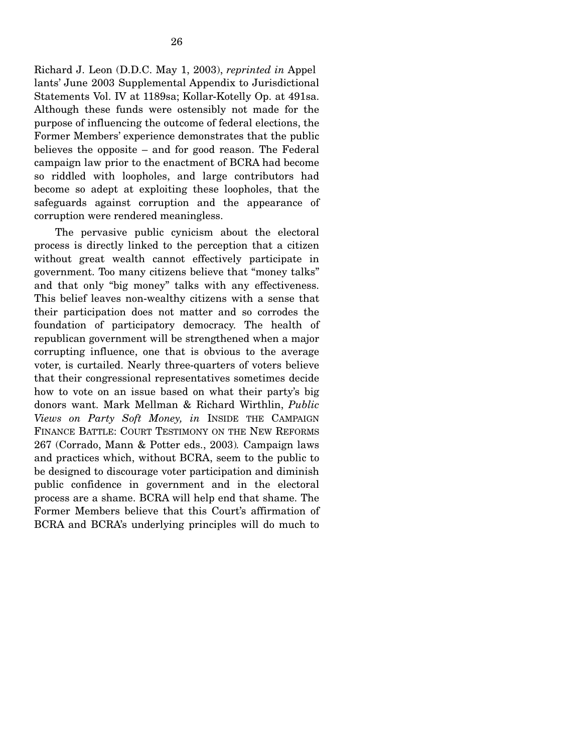Richard J. Leon (D.D.C. May 1, 2003), *reprinted in* Appel lants' June 2003 Supplemental Appendix to Jurisdictional Statements Vol. IV at 1189sa; Kollar-Kotelly Op. at 491sa. Although these funds were ostensibly not made for the purpose of influencing the outcome of federal elections, the Former Members' experience demonstrates that the public believes the opposite – and for good reason. The Federal campaign law prior to the enactment of BCRA had become so riddled with loopholes, and large contributors had become so adept at exploiting these loopholes, that the safeguards against corruption and the appearance of corruption were rendered meaningless.

The pervasive public cynicism about the electoral process is directly linked to the perception that a citizen without great wealth cannot effectively participate in government. Too many citizens believe that "money talks" and that only "big money" talks with any effectiveness. This belief leaves non-wealthy citizens with a sense that their participation does not matter and so corrodes the foundation of participatory democracy. The health of republican government will be strengthened when a major corrupting influence, one that is obvious to the average voter, is curtailed. Nearly three-quarters of voters believe that their congressional representatives sometimes decide how to vote on an issue based on what their party's big donors want. Mark Mellman & Richard Wirthlin, *Public Views on Party Soft Money, in* INSIDE THE CAMPAIGN FINANCE BATTLE: COURT TESTIMONY ON THE NEW REFORMS 267 (Corrado, Mann & Potter eds., 2003)*.* Campaign laws and practices which, without BCRA, seem to the public to be designed to discourage voter participation and diminish public confidence in government and in the electoral process are a shame. BCRA will help end that shame. The Former Members believe that this Court's affirmation of BCRA and BCRA's underlying principles will do much to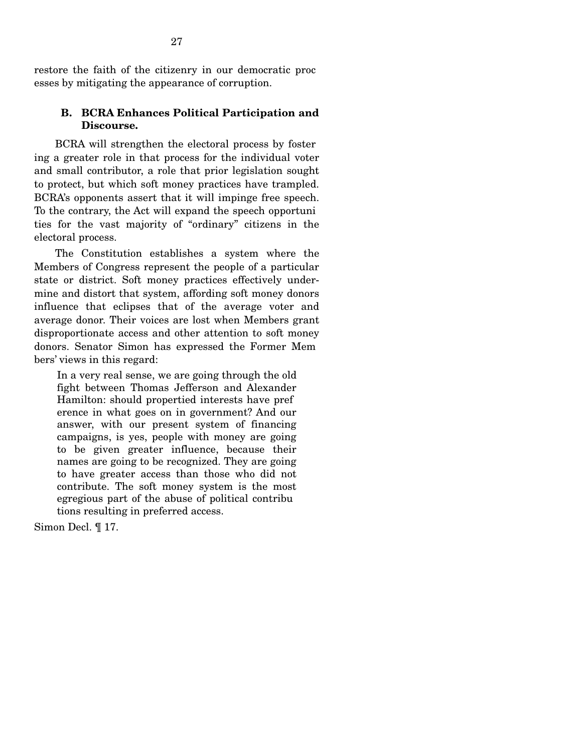restore the faith of the citizenry in our democratic proc esses by mitigating the appearance of corruption.

# **B. BCRA Enhances Political Participation and Discourse.**

BCRA will strengthen the electoral process by foster ing a greater role in that process for the individual voter and small contributor, a role that prior legislation sought to protect, but which soft money practices have trampled. BCRA's opponents assert that it will impinge free speech. To the contrary, the Act will expand the speech opportuni ties for the vast majority of "ordinary" citizens in the electoral process.

The Constitution establishes a system where the Members of Congress represent the people of a particular state or district. Soft money practices effectively undermine and distort that system, affording soft money donors influence that eclipses that of the average voter and average donor. Their voices are lost when Members grant disproportionate access and other attention to soft money donors. Senator Simon has expressed the Former Mem bers' views in this regard:

In a very real sense, we are going through the old fight between Thomas Jefferson and Alexander Hamilton: should propertied interests have pref erence in what goes on in government? And our answer, with our present system of financing campaigns, is yes, people with money are going to be given greater influence, because their names are going to be recognized. They are going to have greater access than those who did not contribute. The soft money system is the most egregious part of the abuse of political contribu tions resulting in preferred access.

Simon Decl. ¶ 17.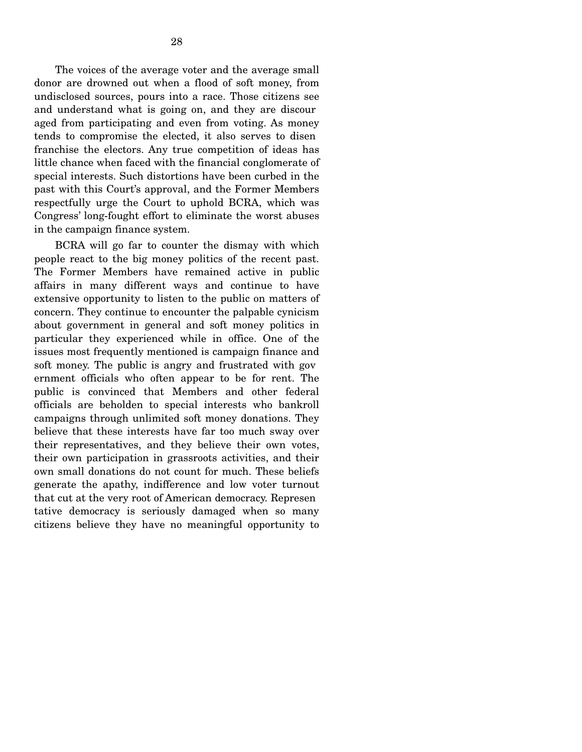The voices of the average voter and the average small donor are drowned out when a flood of soft money, from undisclosed sources, pours into a race. Those citizens see and understand what is going on, and they are discour aged from participating and even from voting. As money tends to compromise the elected, it also serves to disen franchise the electors. Any true competition of ideas has little chance when faced with the financial conglomerate of special interests. Such distortions have been curbed in the past with this Court's approval, and the Former Members respectfully urge the Court to uphold BCRA, which was Congress' long-fought effort to eliminate the worst abuses in the campaign finance system.

BCRA will go far to counter the dismay with which people react to the big money politics of the recent past. The Former Members have remained active in public affairs in many different ways and continue to have extensive opportunity to listen to the public on matters of concern. They continue to encounter the palpable cynicism about government in general and soft money politics in particular they experienced while in office. One of the issues most frequently mentioned is campaign finance and soft money. The public is angry and frustrated with gov ernment officials who often appear to be for rent. The public is convinced that Members and other federal officials are beholden to special interests who bankroll campaigns through unlimited soft money donations. They believe that these interests have far too much sway over their representatives, and they believe their own votes, their own participation in grassroots activities, and their own small donations do not count for much. These beliefs generate the apathy, indifference and low voter turnout that cut at the very root of American democracy. Represen tative democracy is seriously damaged when so many citizens believe they have no meaningful opportunity to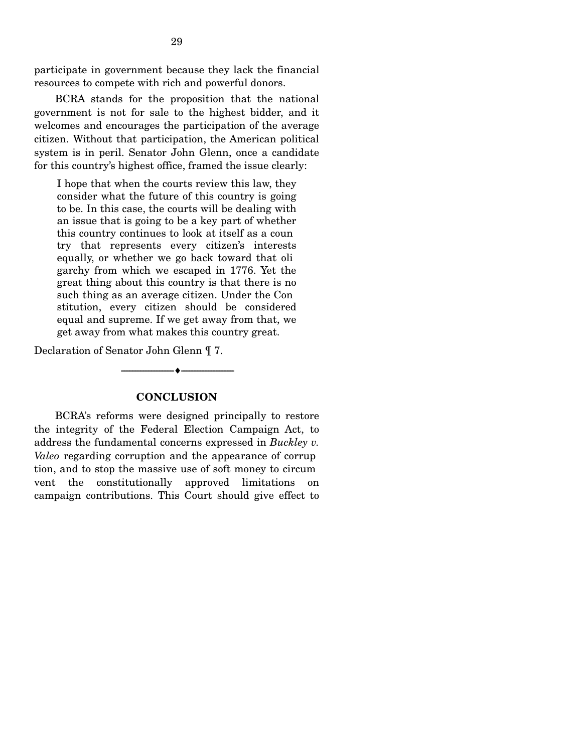participate in government because they lack the financial resources to compete with rich and powerful donors.

BCRA stands for the proposition that the national government is not for sale to the highest bidder, and it welcomes and encourages the participation of the average citizen. Without that participation, the American political system is in peril. Senator John Glenn, once a candidate for this country's highest office, framed the issue clearly:

I hope that when the courts review this law, they consider what the future of this country is going to be. In this case, the courts will be dealing with an issue that is going to be a key part of whether this country continues to look at itself as a coun try that represents every citizen's interests equally, or whether we go back toward that oli garchy from which we escaped in 1776. Yet the great thing about this country is that there is no such thing as an average citizen. Under the Con stitution, every citizen should be considered equal and supreme. If we get away from that, we get away from what makes this country great.

Declaration of Senator John Glenn ¶ 7.

## **CONCLUSION**

----------------------------- ------------------------------ ----♦-- -

BCRA's reforms were designed principally to restore the integrity of the Federal Election Campaign Act, to address the fundamental concerns expressed in *Buckley v. Valeo* regarding corruption and the appearance of corrup tion, and to stop the massive use of soft money to circum vent the constitutionally approved limitations on campaign contributions. This Court should give effect to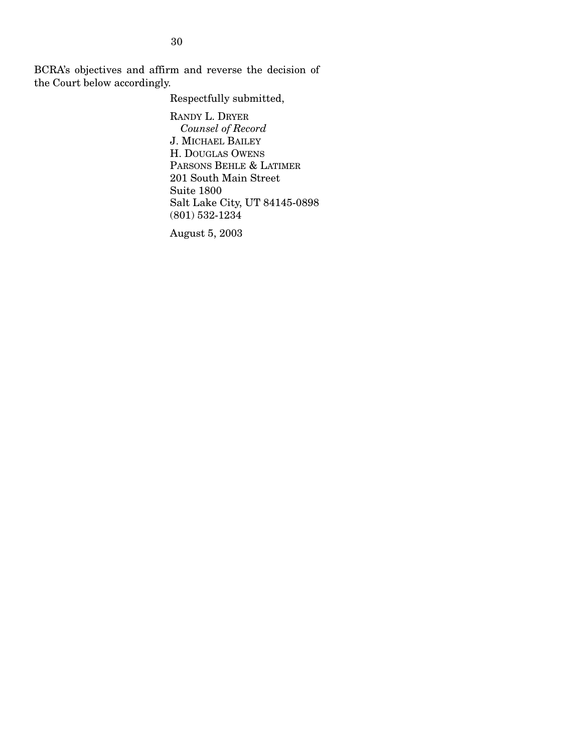BCRA's objectives and affirm and reverse the decision of the Court below accordingly.

Respectfully submitted,

RANDY L. DRYER *Counsel of Record*  J. MICHAEL BAILEY H. DOUGLAS OWENS PARSONS BEHLE & LATIMER 201 South Main Street Suite 1800 Salt Lake City, UT 84145-0898  $(801)$  532-1234

August 5, 2003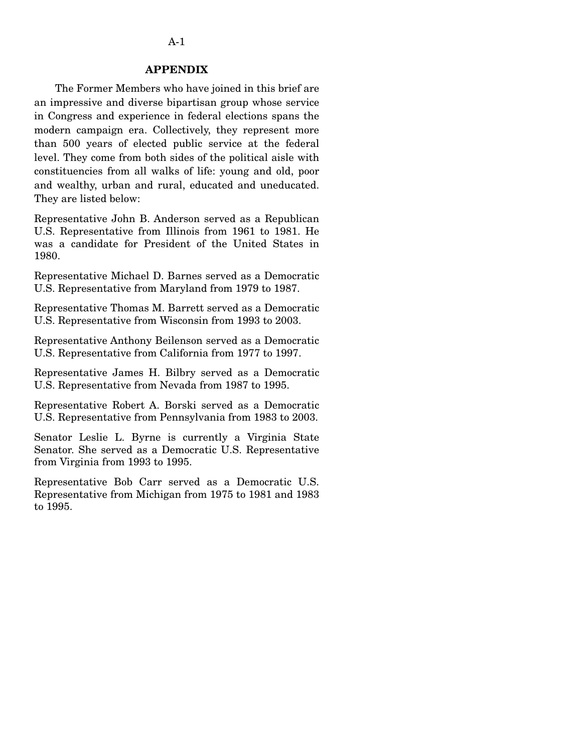## **APPENDIX**

The Former Members who have joined in this brief are an impressive and diverse bipartisan group whose service in Congress and experience in federal elections spans the modern campaign era. Collectively, they represent more than 500 years of elected public service at the federal level. They come from both sides of the political aisle with constituencies from all walks of life: young and old, poor and wealthy, urban and rural, educated and uneducated. They are listed below:

Representative John B. Anderson served as a Republican U.S. Representative from Illinois from 1961 to 1981. He was a candidate for President of the United States in 1980.

Representative Michael D. Barnes served as a Democratic U.S. Representative from Maryland from 1979 to 1987.

Representative Thomas M. Barrett served as a Democratic U.S. Representative from Wisconsin from 1993 to 2003.

Representative Anthony Beilenson served as a Democratic U.S. Representative from California from 1977 to 1997.

Representative James H. Bilbry served as a Democratic U.S. Representative from Nevada from 1987 to 1995.

Representative Robert A. Borski served as a Democratic U.S. Representative from Pennsylvania from 1983 to 2003.

Senator Leslie L. Byrne is currently a Virginia State Senator. She served as a Democratic U.S. Representative from Virginia from 1993 to 1995.

Representative Bob Carr served as a Democratic U.S. Representative from Michigan from 1975 to 1981 and 1983 to 1995.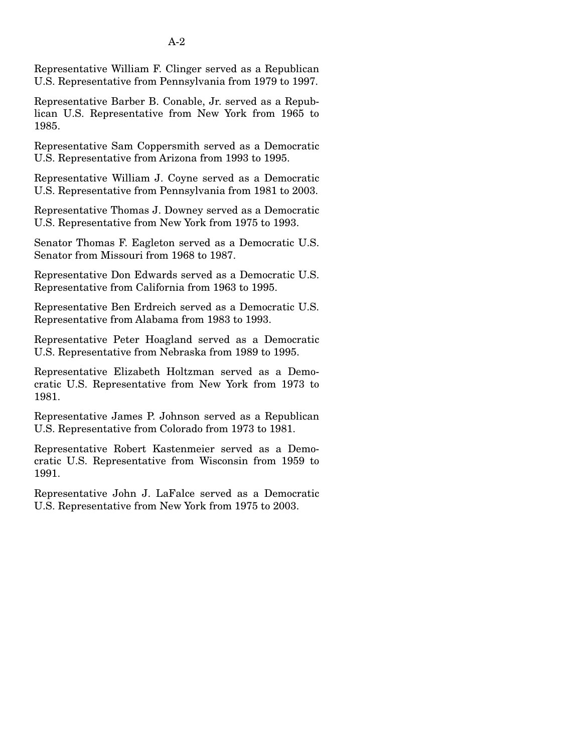Representative William F. Clinger served as a Republican U.S. Representative from Pennsylvania from 1979 to 1997.

A-2

Representative Barber B. Conable, Jr. served as a Republican U.S. Representative from New York from 1965 to 1985.

Representative Sam Coppersmith served as a Democratic U.S. Representative from Arizona from 1993 to 1995.

Representative William J. Coyne served as a Democratic U.S. Representative from Pennsylvania from 1981 to 2003.

Representative Thomas J. Downey served as a Democratic U.S. Representative from New York from 1975 to 1993.

Senator Thomas F. Eagleton served as a Democratic U.S. Senator from Missouri from 1968 to 1987.

Representative Don Edwards served as a Democratic U.S. Representative from California from 1963 to 1995.

Representative Ben Erdreich served as a Democratic U.S. Representative from Alabama from 1983 to 1993.

Representative Peter Hoagland served as a Democratic U.S. Representative from Nebraska from 1989 to 1995.

Representative Elizabeth Holtzman served as a Democratic U.S. Representative from New York from 1973 to 1981.

Representative James P. Johnson served as a Republican U.S. Representative from Colorado from 1973 to 1981.

Representative Robert Kastenmeier served as a Democratic U.S. Representative from Wisconsin from 1959 to 1991.

Representative John J. LaFalce served as a Democratic U.S. Representative from New York from 1975 to 2003.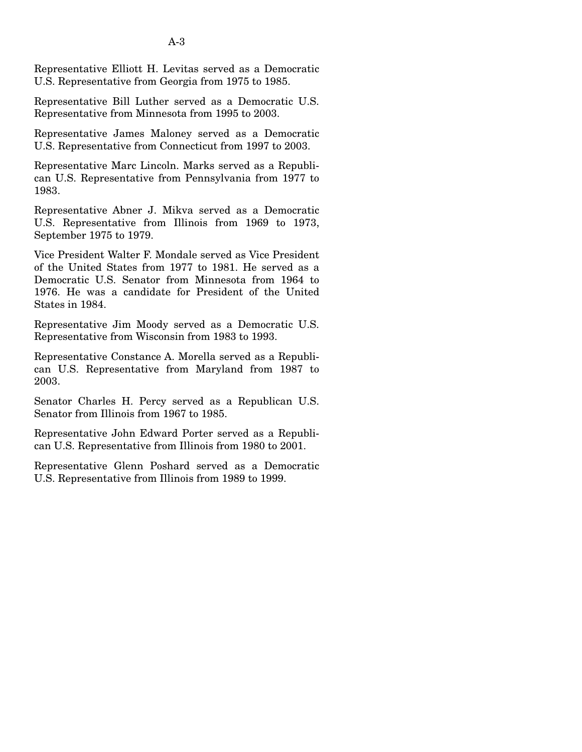Representative Elliott H. Levitas served as a Democratic U.S. Representative from Georgia from 1975 to 1985.

Representative Bill Luther served as a Democratic U.S. Representative from Minnesota from 1995 to 2003.

Representative James Maloney served as a Democratic U.S. Representative from Connecticut from 1997 to 2003.

Representative Marc Lincoln. Marks served as a Republican U.S. Representative from Pennsylvania from 1977 to 1983.

Representative Abner J. Mikva served as a Democratic U.S. Representative from Illinois from 1969 to 1973, September 1975 to 1979.

Vice President Walter F. Mondale served as Vice President of the United States from 1977 to 1981. He served as a Democratic U.S. Senator from Minnesota from 1964 to 1976. He was a candidate for President of the United States in 1984.

Representative Jim Moody served as a Democratic U.S. Representative from Wisconsin from 1983 to 1993.

Representative Constance A. Morella served as a Republican U.S. Representative from Maryland from 1987 to 2003.

Senator Charles H. Percy served as a Republican U.S. Senator from Illinois from 1967 to 1985.

Representative John Edward Porter served as a Republican U.S. Representative from Illinois from 1980 to 2001.

Representative Glenn Poshard served as a Democratic U.S. Representative from Illinois from 1989 to 1999.